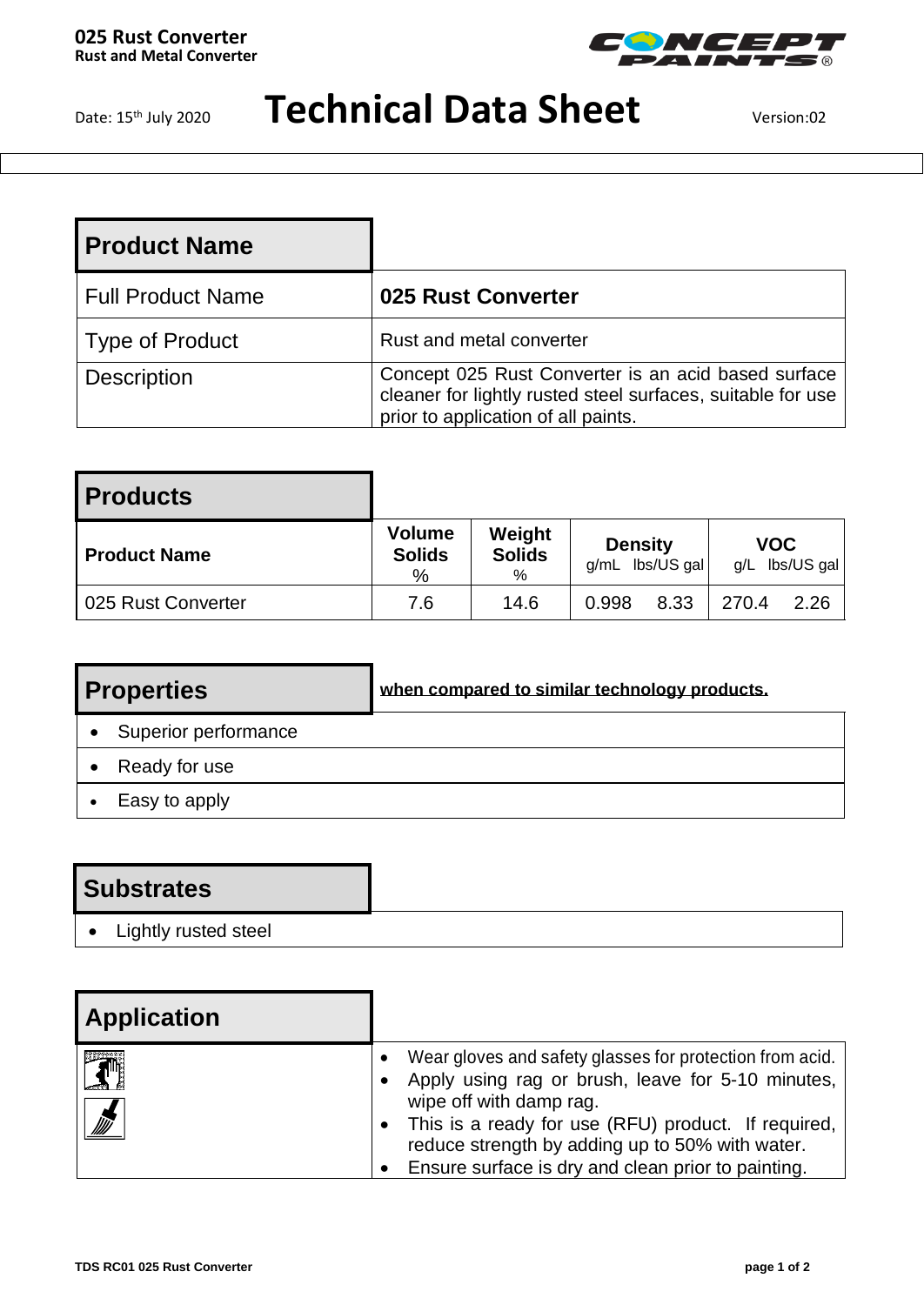

# Date: 15<sup>th</sup> July 2020 **Technical Data Sheet** Version:02

| <b>Product Name</b>      |                                                                                                                                                           |
|--------------------------|-----------------------------------------------------------------------------------------------------------------------------------------------------------|
| <b>Full Product Name</b> | 025 Rust Converter                                                                                                                                        |
| <b>Type of Product</b>   | Rust and metal converter                                                                                                                                  |
| <b>Description</b>       | Concept 025 Rust Converter is an acid based surface<br>cleaner for lightly rusted steel surfaces, suitable for use<br>prior to application of all paints. |

| <b>Products</b>     |                                     |                              |                |                 |            |                |
|---------------------|-------------------------------------|------------------------------|----------------|-----------------|------------|----------------|
| <b>Product Name</b> | <b>Volume</b><br><b>Solids</b><br>% | Weight<br><b>Solids</b><br>% | <b>Density</b> | g/mL lbs/US gal | <b>VOC</b> | g/L lbs/US gal |
| 025 Rust Converter  | 7.6                                 | 14.6                         | 0.998          | 8.33            | 270.4      | 2.26           |

#### when compared to similar technology products.

- Superior performance
- Ready for use
- Easy to apply

### **Substrates**

• Lightly rusted steel

| <b>Application</b> |                                                                                                                                                                                                                                                                                                          |
|--------------------|----------------------------------------------------------------------------------------------------------------------------------------------------------------------------------------------------------------------------------------------------------------------------------------------------------|
|                    | Wear gloves and safety glasses for protection from acid.<br>Apply using rag or brush, leave for 5-10 minutes,<br>wipe off with damp rag.<br>This is a ready for use (RFU) product. If required,<br>reduce strength by adding up to 50% with water.<br>Ensure surface is dry and clean prior to painting. |